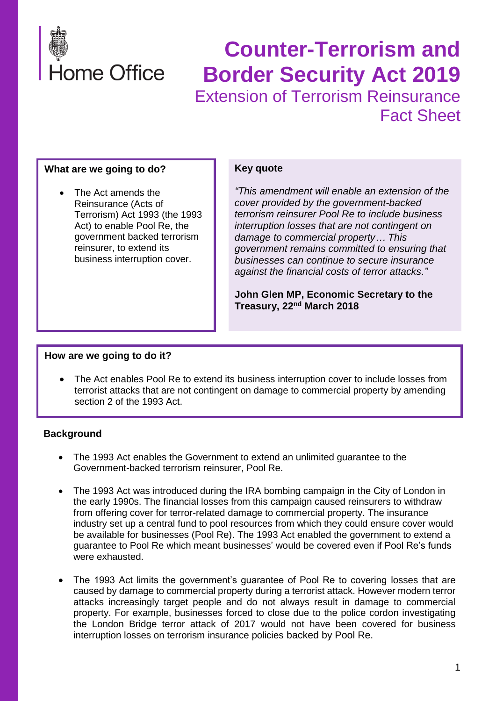

## **Counter-Terrorism and Border Security Act 2019** Extension of Terrorism Reinsurance Fact Sheet

#### **What are we going to do?**

• The Act amends the Reinsurance (Acts of Terrorism) Act 1993 (the 1993 Act) to enable Pool Re, the government backed terrorism reinsurer, to extend its business interruption cover.

#### **Key quote**

*"This amendment will enable an extension of the cover provided by the government-backed terrorism reinsurer Pool Re to include business interruption losses that are not contingent on damage to commercial property… This government remains committed to ensuring that businesses can continue to secure insurance against the financial costs of terror attacks."*

**John Glen MP, Economic Secretary to the Treasury, 22nd March 2018**

#### **How are we going to do it?**

• The Act enables Pool Re to extend its business interruption cover to include losses from terrorist attacks that are not contingent on damage to commercial property by amending section 2 of the 1993 Act.

#### **Background**

- The 1993 Act enables the Government to extend an unlimited guarantee to the Government-backed terrorism reinsurer, Pool Re.
- The 1993 Act was introduced during the IRA bombing campaign in the City of London in the early 1990s. The financial losses from this campaign caused reinsurers to withdraw from offering cover for terror-related damage to commercial property. The insurance industry set up a central fund to pool resources from which they could ensure cover would be available for businesses (Pool Re). The 1993 Act enabled the government to extend a guarantee to Pool Re which meant businesses' would be covered even if Pool Re's funds were exhausted.
- The 1993 Act limits the government's guarantee of Pool Re to covering losses that are caused by damage to commercial property during a terrorist attack. However modern terror attacks increasingly target people and do not always result in damage to commercial property. For example, businesses forced to close due to the police cordon investigating the London Bridge terror attack of 2017 would not have been covered for business interruption losses on terrorism insurance policies backed by Pool Re.